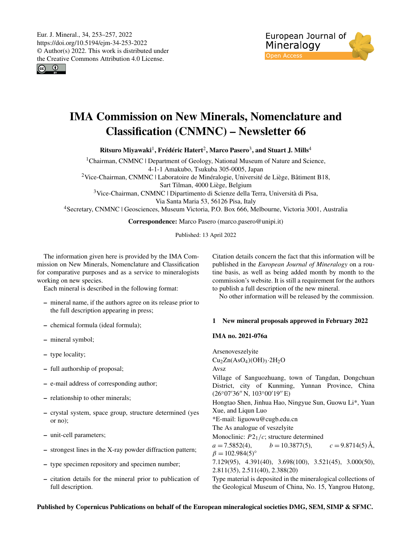Eur. J. Mineral., 34, 253–257, 2022 https://doi.org/10.5194/ejm-34-253-2022 © Author(s) 2022. This work is distributed under the Creative Commons Attribution 4.0 License.

 $\circ$   $\circ$ 



# IMA Commission on New Minerals, Nomenclature and Classification (CNMNC) – Newsletter 66

Ritsuro Miyawaki $^{\rm l}$ , Frédéric Hatert $^{\rm 2}$  $^{\rm 2}$  $^{\rm 2}$ , Marco Pasero $^{\rm 3}$  $^{\rm 3}$  $^{\rm 3}$ , and Stuart J. Mills $^{\rm 4}$  $^{\rm 4}$  $^{\rm 4}$ 

<sup>1</sup>Chairman, CNMNC | Department of Geology, National Museum of Nature and Science, 4-1-1 Amakubo, Tsukuba 305-0005, Japan

<sup>2</sup>Vice-Chairman, CNMNC | Laboratoire de Minéralogie, Université de Liège, Bâtiment B18, Sart Tilman, 4000 Liège, Belgium

<sup>3</sup>Vice-Chairman, CNMNC | Dipartimento di Scienze della Terra, Università di Pisa,

Via Santa Maria 53, 56126 Pisa, Italy

<sup>4</sup>Secretary, CNMNC | Geosciences, Museum Victoria, P.O. Box 666, Melbourne, Victoria 3001, Australia

Correspondence: Marco Pasero (marco.pasero@unipi.it)

Published: 13 April 2022

<span id="page-0-0"></span>The information given here is provided by the IMA Commission on New Minerals, Nomenclature and Classification for comparative purposes and as a service to mineralogists working on new species.

Each mineral is described in the following format:

- mineral name, if the authors agree on its release prior to the full description appearing in press;
- chemical formula (ideal formula);
- mineral symbol;
- type locality;
- full authorship of proposal;
- e-mail address of corresponding author;
- relationship to other minerals;
- crystal system, space group, structure determined (yes or no);
- unit-cell parameters;
- strongest lines in the X-ray powder diffraction pattern;
- type specimen repository and specimen number;
- citation details for the mineral prior to publication of full description.

Citation details concern the fact that this information will be published in the *European Journal of Mineralogy* on a routine basis, as well as being added month by month to the commission's website. It is still a requirement for the authors to publish a full description of the new mineral.

No other information will be released by the commission.

#### 1 New mineral proposals approved in February 2022

#### IMA no. 2021-076a

Arsenoveszelyite  $Cu<sub>2</sub>Zn(AsO<sub>4</sub>)(OH)<sub>3</sub>·2H<sub>2</sub>O$ Avsz Village of Sanguozhuang, town of Tangdan, Dongchuan District, city of Kunming, Yunnan Province, China  $(26°07'36'' N, 103°00'19'' E)$ Hongtao Shen, Jinhua Hao, Ningyue Sun, Guowu Li\*, Yuan Xue, and Liqun Luo \*E-mail: liguowu@cugb.edu.cn The As analogue of veszelyite Monoclinic:  $P2<sub>1</sub>/c$ ; structure determined  $a = 7.5852(4),$   $b = 10.3877(5),$   $c = 9.8714(5)$  Å,  $\beta = 102.984(5)$ ° 7.129(95), 4.391(40), 3.698(100), 3.521(45), 3.000(50), 2.811(35), 2.511(40), 2.388(20)

Type material is deposited in the mineralogical collections of the Geological Museum of China, No. 15, Yangrou Hutong,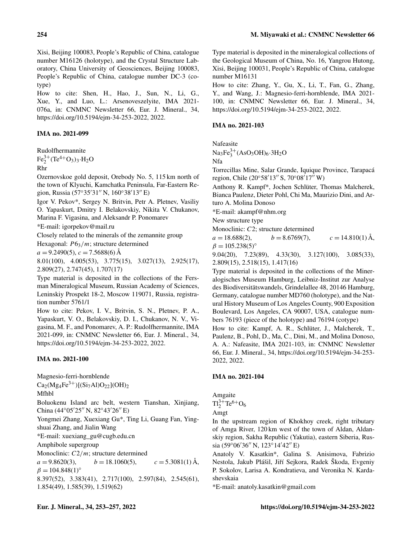Xisi, Beijing 100083, People's Republic of China, catalogue number M16126 (holotype), and the Crystal Structure Laboratory, China University of Geosciences, Beijing 100083, People's Republic of China, catalogue number DC-3 (cotype)

How to cite: Shen, H., Hao, J., Sun, N., Li, G., Xue, Y., and Luo, L.: Arsenoveszelyite, IMA 2021- 076a, in: CNMNC Newsletter 66, Eur. J. Mineral., 34, https://doi.org[/10.5194/ejm-34-253-2022,](https://doi.org/10.5194/ejm-34-253-2022) 2022.

# IMA no. 2021-099

Rudolfhermannite

 $Fe_2^{3+}(Te^{4+}O_3)_3·H_2O$ Rhr

Ozernovskoe gold deposit, Orebody No. 5, 115 km north of the town of Klyuchi, Kamchatka Peninsula, Far-Eastern Region, Russia (57°35′31″ N, 160°38′13″ E)

Igor V. Pekov\*, Sergey N. Britvin, Petr A. Pletnev, Vasiliy O. Yapaskurt, Dmitry I. Belakovskiy, Nikita V. Chukanov, Marina F. Vigasina, and Aleksandr P. Ponomarev

\*E-mail: igorpekov@mail.ru

Closely related to the minerals of the zemannite group

Hexagonal:  $P6_3/m$ ; structure determined

 $a = 9.2490(5)$ ,  $c = 7.5688(6)$  Å

8.01(100), 4.005(53), 3.775(15), 3.027(13), 2.925(17), 2.809(27), 2.747(45), 1.707(17)

Type material is deposited in the collections of the Fersman Mineralogical Museum, Russian Academy of Sciences, Leninskiy Prospekt 18-2, Moscow 119071, Russia, registration number 5761/1

How to cite: Pekov, I. V., Britvin, S. N., Pletnev, P. A., Yapaskurt, V. O., Belakovskiy, D. I., Chukanov, N. V., Vigasina, M. F., and Ponomarev, A. P.: Rudolfhermannite, IMA 2021-099, in: CNMNC Newsletter 66, Eur. J. Mineral., 34, https://doi.org[/10.5194/ejm-34-253-2022,](https://doi.org/10.5194/ejm-34-253-2022) 2022.

# IMA no. 2021-100

Magnesio-ferri-hornblende

 $Ca_2(Mg_4Fe^{3+})[(Si_7Al)O_{22}](OH)_2$ Mfhbl Boluokenu Island arc belt, western Tianshan, Xinjiang, China (44°05'25" N, 82°43'26" E) Yongmei Zhang, Xuexiang Gu\*, Ting Li, Guang Fan, Yingshuai Zhang, and Jialin Wang \*E-mail: xuexiang\_gu@cugb.edu.cn Amphibole supergroup Monoclinic:  $C2/m$ ; structure determined  $a = 9.8620(3),$   $b = 18.1060(5),$   $c = 5.3081(1)$ Å,  $\beta = 104.848(1)$ °

8.397(52), 3.383(41), 2.717(100), 2.597(84), 2.545(61), 1.854(49), 1.585(39), 1.519(62)

Type material is deposited in the mineralogical collections of the Geological Museum of China, No. 16, Yangrou Hutong, Xisi, Beijing 100031, People's Republic of China, catalogue number M16131

How to cite: Zhang, Y., Gu, X., Li, T., Fan, G., Zhang, Y., and Wang, J.: Magnesio-ferri-hornblende, IMA 2021- 100, in: CNMNC Newsletter 66, Eur. J. Mineral., 34, https://doi.org[/10.5194/ejm-34-253-2022,](https://doi.org/10.5194/ejm-34-253-2022) 2022.

# IMA no. 2021-103

Nafeasite

 $Na_3Fe_3^{3+}(AsO_3OH)_6.3H_2O$ 

Nfa

Torrecillas Mine, Salar Grande, Iquique Province, Tarapacá region, Chile (20°58'13" S, 70°08'17" W)

Anthony R. Kampf\*, Jochen Schlüter, Thomas Malcherek, Bianca Paulenz, Dieter Pohl, Chi Ma, Maurizio Dini, and Arturo A. Molina Donoso

\*E-mail: akampf@nhm.org

New structure type

Monoclinic: C2; structure determined

 $a = 18.688(2),$   $b = 8.6769(7),$   $c = 14.810(1)$  Å,  $\beta = 105.238(5)$ °

9.04(20), 7.23(89), 4.33(30), 3.127(100), 3.085(33), 2.809(15), 2.518(15), 1.417(16)

Type material is deposited in the collections of the Mineralogisches Museum Hamburg, Leibniz-Institut zur Analyse des Biodiversitätswandels, Grindelallee 48, 20146 Hamburg, Germany, catalogue number MD760 (holotype), and the Natural History Museum of Los Angeles County, 900 Exposition Boulevard, Los Angeles, CA 90007, USA, catalogue numbers 76193 (piece of the holotype) and 76194 (cotype)

How to cite: Kampf, A. R., Schlüter, J., Malcherek, T., Paulenz, B., Pohl, D., Ma, C., Dini, M., and Molina Donoso, A. A.: Nafeasite, IMA 2021-103, in: CNMNC Newsletter 66, Eur. J. Mineral., 34, https://doi.org[/10.5194/ejm-34-253-](https://doi.org/10.5194/ejm-34-253-2022) [2022,](https://doi.org/10.5194/ejm-34-253-2022) 2022.

#### IMA no. 2021-104

Amgaite

 $Tl_2^{3+}Te^{6+}O_6$ 

Amgt

In the upstream region of Khokhoy creek, right tributary of Amga River, 120 km west of the town of Aldan, Aldanskiy region, Sakha Republic (Yakutia), eastern Siberia, Rus- $\sin (59°06'36'' N, 123°14'42'' E)$ 

Anatoly V. Kasatkin\*, Galina S. Anisimova, Fabrizio Nestola, Jakub Plášil, Jiří Sejkora, Radek Škoda, Evgeniy P. Sokolov, Larisa A. Kondratieva, and Veronika N. Kardashevskaia

\*E-mail: anatoly.kasatkin@gmail.com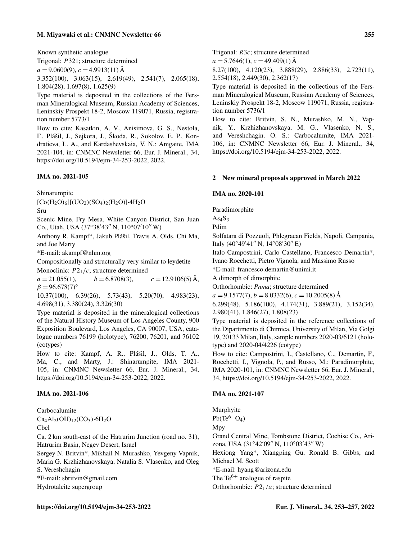# M. Miyawaki et al.: CNMNC Newsletter 66 255

Known synthetic analogue

Trigonal: P321; structure determined

$$
a = 9.0600(9), c = 4.9913(11) \text{ Å}
$$

3.352(100), 3.063(15), 2.619(49), 2.541(7), 2.065(18), 1.804(28), 1.697(8), 1.625(9)

Type material is deposited in the collections of the Fersman Mineralogical Museum, Russian Academy of Sciences, Leninskiy Prospekt 18-2, Moscow 119071, Russia, registration number 5773/1

How to cite: Kasatkin, A. V., Anisimova, G. S., Nestola, F., Plášil, J., Sejkora, J., Škoda, R., Sokolov, E. P., Kondratieva, L. A., and Kardashevskaia, V. N.: Amgaite, IMA 2021-104, in: CNMNC Newsletter 66, Eur. J. Mineral., 34, https://doi.org[/10.5194/ejm-34-253-2022,](https://doi.org/10.5194/ejm-34-253-2022) 2022.

#### IMA no. 2021-105

Shinarumpite

 $[Co(H_2O)_6][(UO_2)(SO_4)_2(H_2O)]·4H_2O$ Sru

Scenic Mine, Fry Mesa, White Canyon District, San Juan Co., Utah, USA (37°38'43" N, 110°07'10" W)

Anthony R. Kampf\*, Jakub Plášil, Travis A. Olds, Chi Ma, and Joe Marty

\*E-mail: akampf@nhm.org

Compositionally and structurally very similar to leydetite

Monoclinic: P21/c; structure determined

 $a = 21.055(1),$   $b = 6.8708(3),$   $c = 12.9106(5)$  Å,  $\beta = 96.678(7)$ °

10.37(100), 6.39(26), 5.73(43), 5.20(70), 4.983(23), 4.698(31), 3.380(24), 3.326(30)

Type material is deposited in the mineralogical collections of the Natural History Museum of Los Angeles County, 900 Exposition Boulevard, Los Angeles, CA 90007, USA, catalogue numbers 76199 (holotype), 76200, 76201, and 76102 (cotypes)

How to cite: Kampf, A. R., Plášil, J., Olds, T. A., Ma, C., and Marty, J.: Shinarumpite, IMA 2021- 105, in: CNMNC Newsletter 66, Eur. J. Mineral., 34, https://doi.org[/10.5194/ejm-34-253-2022,](https://doi.org/10.5194/ejm-34-253-2022) 2022.

#### IMA no. 2021-106

Carbocalumite

 $Ca<sub>4</sub>Al<sub>2</sub>(OH)<sub>12</sub>(CO<sub>3</sub>)·6H<sub>2</sub>O$ 

Cbcl

Ca. 2 km south-east of the Hatrurim Junction (road no. 31), Hatrurim Basin, Negev Desert, Israel

Sergey N. Britvin\*, Mikhail N. Murashko, Yevgeny Vapnik, Maria G. Krzhizhanovskaya, Natalia S. Vlasenko, and Oleg S. Vereshchagin

\*E-mail: sbritvin@gmail.com

Hydrotalcite supergroup

Trigonal:  $R\overline{3}c$ ; structure determined  $a = 5.7646(1), c = 49.409(1)$ Å 8.27(100), 4.120(23), 3.888(29), 2.886(33), 2.723(11), 2.554(18), 2.449(30), 2.362(17)

Type material is deposited in the collections of the Fersman Mineralogical Museum, Russian Academy of Sciences, Leninskiy Prospekt 18-2, Moscow 119071, Russia, registration number 5736/1

How to cite: Britvin, S. N., Murashko, M. N., Vapnik, Y., Krzhizhanovskaya, M. G., Vlasenko, N. S., and Vereshchagin. O. S.: Carbocalumite, IMA 2021- 106, in: CNMNC Newsletter 66, Eur. J. Mineral., 34, https://doi.org[/10.5194/ejm-34-253-2022,](https://doi.org/10.5194/ejm-34-253-2022) 2022.

#### 2 New mineral proposals approved in March 2022

#### IMA no. 2020-101

Paradimorphite

 $As<sub>4</sub>S<sub>3</sub>$ Pdim

Solfatara di Pozzuoli, Phlegraean Fields, Napoli, Campania, Italy (40°49'41" N, 14°08'30" E)

Italo Campostrini, Carlo Castellano, Francesco Demartin\*, Ivano Rocchetti, Pietro Vignola, and Massimo Russo

\*E-mail: francesco.demartin@unimi.it

A dimorph of dimorphite

Orthorhombic: *Pnma*; structure determined

 $a = 9.1577(7), b = 8.0332(6), c = 10.2005(8)$  Å

6.299(48), 5.186(100), 4.174(31), 3.889(21), 3.152(34), 2.980(41), 1.846(27), 1.808(23)

Type material is deposited in the reference collections of the Dipartimento di Chimica, University of Milan, Via Golgi 19, 20133 Milan, Italy, sample numbers 2020-03/6121 (holotype) and 2020-04/4226 (cotype)

How to cite: Campostrini, I., Castellano, C., Demartin, F., Rocchetti, I., Vignola, P., and Russo, M.: Paradimorphite, IMA 2020-101, in: CNMNC Newsletter 66, Eur. J. Mineral., 34, https://doi.org[/10.5194/ejm-34-253-2022,](https://doi.org/10.5194/ejm-34-253-2022) 2022.

#### IMA no. 2021-107

Murphyite  $Pb(Te^{6+}O_4)$ Mpy Grand Central Mine, Tombstone District, Cochise Co., Arizona, USA (31°42'09" N, 110°03'43" W) Hexiong Yang\*, Xiangping Gu, Ronald B. Gibbs, and Michael M. Scott \*E-mail: hyang@arizona.edu The  $Te^{6+}$  analogue of raspite Orthorhombic:  $P2_1/a$ ; structure determined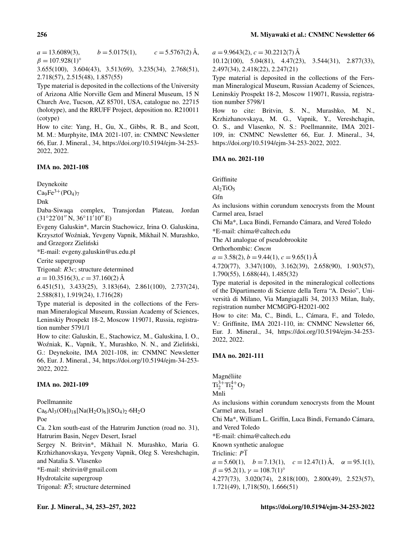$a = 13.6089(3),$   $b = 5.0175(1),$   $c = 5.5767(2)$  Å,  $\beta = 107.928(1)$ °

3.655(100), 3.604(43), 3.513(69), 3.235(34), 2.768(51), 2.718(57), 2.515(48), 1.857(55)

Type material is deposited in the collections of the University of Arizona Alfie Norville Gem and Mineral Museum, 15 N Church Ave, Tucson, AZ 85701, USA, catalogue no. 22715 (holotype), and the RRUFF Project, deposition no. R210011 (cotype)

How to cite: Yang, H., Gu, X., Gibbs, R. B., and Scott, M. M.: Murphyite, IMA 2021-107, in: CNMNC Newsletter 66, Eur. J. Mineral., 34, https://doi.org[/10.5194/ejm-34-253-](https://doi.org/10.5194/ejm-34-253-2022) [2022,](https://doi.org/10.5194/ejm-34-253-2022) 2022.

# IMA no. 2021-108

Deynekoite

 $Ca<sub>9</sub>Fe<sup>3+</sup>(PO<sub>4</sub>)<sub>7</sub>$ 

Dnk

Daba-Siwaqa complex, Transjordan Plateau, Jordan (31°22′01″ N, 36°11′10″ E)

Evgeny Galuskin\*, Marcin Stachowicz, Irina O. Galuskina, Krzysztof Woźniak, Yevgeny Vapnik, Mikhail N. Murashko, and Grzegorz Zielinski ´

\*E-mail: evgeny.galuskin@us.edu.pl

Cerite supergroup

Trigonal: R3c; structure determined

 $a = 10.3516(3), c = 37.160(2)$ Å

6.451(51), 3.433(25), 3.183(64), 2.861(100), 2.737(24), 2.588(81), 1.919(24), 1.716(28)

Type material is deposited in the collections of the Fersman Mineralogical Museum, Russian Academy of Sciences, Leninskiy Prospekt 18-2, Moscow 119071, Russia, registration number 5791/1

How to cite: Galuskin, E., Stachowicz, M., Galuskina, I. O., Woźniak, K., Vapnik, Y., Murashko, N. N., and Zieliński, G.: Deynekoite, IMA 2021-108, in: CNMNC Newsletter 66, Eur. J. Mineral., 34, https://doi.org[/10.5194/ejm-34-253-](https://doi.org/10.5194/ejm-34-253-2022) [2022,](https://doi.org/10.5194/ejm-34-253-2022) 2022.

# IMA no. 2021-109

# Poellmannite

 $Ca_6Al_3(OH)_{18}[Na(H_2O)_6](SO_4)_2.6H_2O$ Poe

Ca. 2 km south-east of the Hatrurim Junction (road no. 31), Hatrurim Basin, Negev Desert, Israel

Sergey N. Britvin\*, Mikhail N. Murashko, Maria G. Krzhizhanovskaya, Yevgeny Vapnik, Oleg S. Vereshchagin, and Natalia S. Vlasenko

\*E-mail: sbritvin@gmail.com

Hydrotalcite supergroup

Trigonal:  $R\overline{3}$ ; structure determined

 $a = 9.9643(2), c = 30.2212(7)$  Å

10.12(100), 5.04(81), 4.47(23), 3.544(31), 2.877(33), 2.497(34), 2.418(22), 2.247(21)

Type material is deposited in the collections of the Fersman Mineralogical Museum, Russian Academy of Sciences, Leninskiy Prospekt 18-2, Moscow 119071, Russia, registration number 5798/1

How to cite: Britvin, S. N., Murashko, M. N., Krzhizhanovskaya, M. G., Vapnik, Y., Vereshchagin, O. S., and Vlasenko, N. S.: Poellmannite, IMA 2021- 109, in: CNMNC Newsletter 66, Eur. J. Mineral., 34, https://doi.org[/10.5194/ejm-34-253-2022,](https://doi.org/10.5194/ejm-34-253-2022) 2022.

# IMA no. 2021-110

Griffinite

 $Al<sub>2</sub>TiO<sub>5</sub>$ 

Gfn

As inclusions within corundum xenocrysts from the Mount Carmel area, Israel

Chi Ma\*, Luca Bindi, Fernando Cámara, and Vered Toledo \*E-mail: chima@caltech.edu

The Al analogue of pseudobrookite

Orthorhombic: *Cmcm*

 $a = 3.58(2), b = 9.44(1), c = 9.65(1)$  Å

4.720(77), 3.347(100), 3.162(39), 2.658(90), 1.903(57), 1.790(55), 1.688(44), 1.485(32)

Type material is deposited in the mineralogical collections of the Dipartimento di Scienze della Terra "A. Desio", Università di Milano, Via Mangiagalli 34, 20133 Milan, Italy, registration number MCMGPG-H2021-002

How to cite: Ma, C., Bindi, L., Cámara, F., and Toledo, V.: Griffinite, IMA 2021-110, in: CNMNC Newsletter 66, Eur. J. Mineral., 34, https://doi.org[/10.5194/ejm-34-253-](https://doi.org/10.5194/ejm-34-253-2022) [2022,](https://doi.org/10.5194/ejm-34-253-2022) 2022.

# IMA no. 2021-111

Magnéliite

 $Ti_2^{3+}Ti_2^{4+}O_7$ 

Mnli

As inclusions within corundum xenocrysts from the Mount Carmel area, Israel

Chi Ma\*, William L. Griffin, Luca Bindi, Fernando Cámara, and Vered Toledo

\*E-mail: chima@caltech.edu

Known synthetic analogue

Triclinic:  $P\overline{1}$ 

 $a = 5.60(1)$ ,  $b = 7.13(1)$ ,  $c = 12.47(1)$  Å,  $\alpha = 95.1(1)$ ,  $\beta = 95.2(1), \gamma = 108.7(1)$ °

4.277(73), 3.020(74), 2.818(100), 2.800(49), 2.523(57), 1.721(49), 1,718(50), 1.666(51)